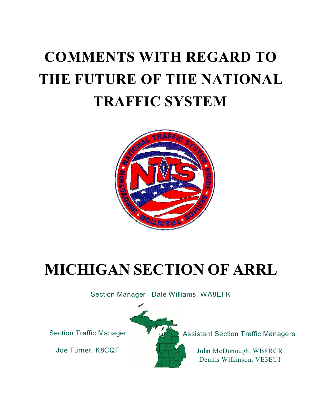# **COMMENTS WITH REGARD TO THE FUTURE OF THE NATIONAL TRAFFIC SYSTEM**



# **MICHIGAN SECTION OF ARRL**

Section Manager Dale Williams, WA8EFK

Joe Turner, K8CQF



Section Traffic Manager **Assistant Section Traffic Managers** 

John McDonough, WB8RCR Dennis Wilkinson, VE3EUI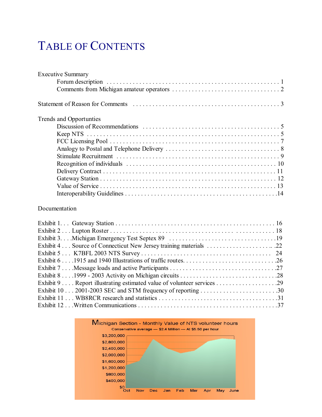# TABLE OF CONTENTS

| <b>Executive Summary</b> |  |
|--------------------------|--|
|                          |  |
|                          |  |
|                          |  |
| Trends and Opportunties  |  |
|                          |  |
|                          |  |
|                          |  |
|                          |  |
|                          |  |
|                          |  |
|                          |  |
|                          |  |
|                          |  |
|                          |  |

#### Documentation

| Exhibit 102001-2003 SEC and STM frequency of reporting 30 |  |
|-----------------------------------------------------------|--|
|                                                           |  |
|                                                           |  |

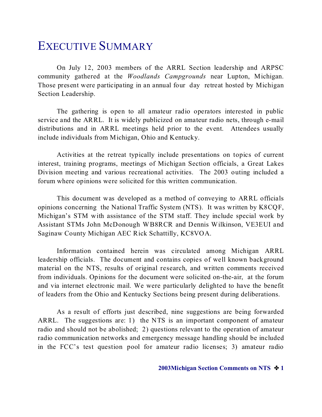## EXECUTIVE SUMMARY

On July 12, 2003 members of the ARRL Section leadership and ARPSC community gathered at the *Woodlands Campgrounds* near Lupton, Michigan. Those present were participating in an annual four day retreat hosted by Michigan Section Leadership.

The gathering is open to all amateur radio operators interested in public service and the ARRL. It is widely publicized on amateur radio nets, through e-mail distributions and in ARRL meetings held prior to the event. Attendees usually include individuals from Michigan, Ohio and Kentucky.

Activities at the retreat typically include presentations on topics of current interest, training programs, meetings of Michigan Section officials, a Great Lakes Division meeting and various recreational activities. The 2003 outing included a forum where opinions were solicited for this written communication.

This document was developed as a method of conveying to ARRL officials opinions concerning the National Traffic System (NTS). It was written by K8CQF, Michigan's STM with assistance of the STM staff. They include special work by Assistant STMs John McDonough WB8RCR and Dennis Wilkinson, VE3EUI and Saginaw County Michigan AEC Rick Schattilly, KC8VOA.

Information contained herein was circulated among Michigan ARRL leadership officials. The document and contains copies of well known background material on the NTS, results of original research, and written comments received from individuals. Opinions for the document were solicited on-the-air, at the forum and via internet electronic mail. We were particularly delighted to have the benefit of leaders from the Ohio and Kentucky Sections being present during deliberations.

As a result of efforts just described, nine suggestions are being forwarded ARRL. The suggestions are: 1) the NTS is an important component of amateur radio and should not be abolished; 2) questions relevant to the operation of amateur radio communication networks and emergency message handling should be included in the FCC's test question pool for amateur radio licenses; 3) amateur radio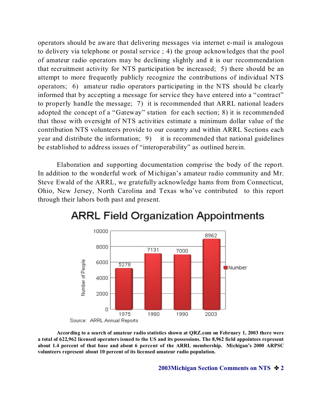operators should be aware that delivering messages via internet e-mail is analogous to delivery via telephone or postal service ; 4) the group acknowledges that the pool of amateur radio operators may be declining slightly and it is our recommendation that recruitment activity for NTS participation be increased; 5) there should be an attempt to more frequently publicly recognize the contributions of individual NTS operators; 6) amateur radio operators participating in the NTS should be clearly informed that by accepting a message for service they have entered into a "contract" to properly handle the message; 7) it is recommended that ARRL national leaders adopted the concept of a "Gateway" station for each section; 8) it is recommended that those with oversight of NTS activities estimate a minimum dollar value of the contribution NTS volunteers provide to our country and within ARRL Sections each year and distribute the information; 9) it is recommended that national guidelines be established to address issues of "interoperability" as outlined herein.

Elaboration and supporting documentation comprise the body of the report. In addition to the wonderful work of Michigan's amateur radio community and Mr. Steve Ewald of the ARRL, we gratefully acknowledge hams from from Connecticut, Ohio, New Jersey, North Carolina and Texas who've contributed to this report through their labors both past and present.



### **ARRL Field Organization Appointments**

**According to a search of amateur radio statistics shown at QRZ.com on February 1, 2003 there were a total of 622,962 licensed operators issued to the US and its possessions. The 8,962 field appointees represent about 1.4 percent of that base and about 6 percent of the ARRL membership. Michigan's 2000 ARPSC volunteers represent about 10 percent of its licensed amateur radio population.**

**2003Michigan Section Comments on NTS**  $\cdot$  **2**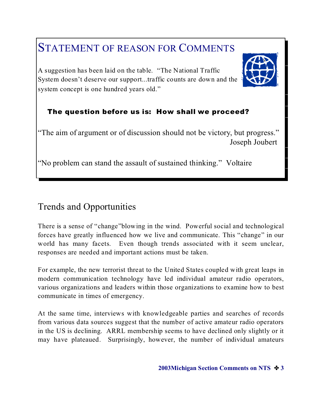### STATEMENT OF REASON FOR COMMENTS

A suggestion has been laid on the table. "The National Traffic System doesn't deserve our support...traffic counts are down and the system concept is one hundred years old."

#### The question before us is: How shall we proceed?

"The aim of argument or of discussion should not be victory, but progress." Joseph Joubert

"No problem can stand the assault of sustained thinking." Voltaire

#### Trends and Opportunities

There is a sense of "change"blowing in the wind. Powerful social and technological forces have greatly influenced how we live and communicate. This "change" in our world has many facets. Even though trends associated with it seem unclear, responses are needed and important actions must be taken.

For example, the new terrorist threat to the United States coupled with great leaps in modern communication technology have led individual amateur radio operators, various organizations and leaders within those organizations to examine how to best communicate in times of emergency.

At the same time, interviews with knowledgeable parties and searches of records from various data sources suggest that the number of active amateur radio operators in the US is declining. ARRL membership seems to have declined only slightly or it may have plateaued. Surprisingly, however, the number of individual amateurs